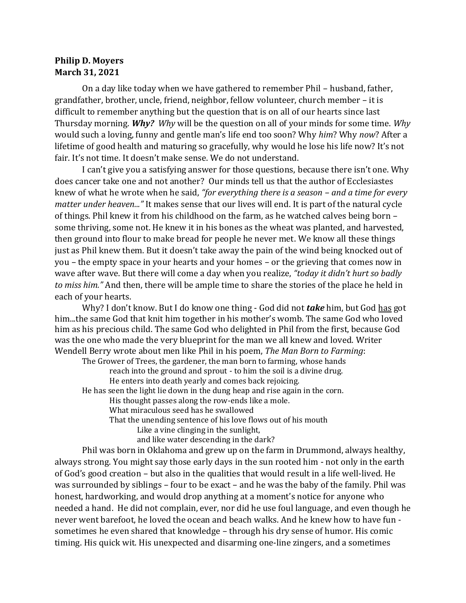## **Philip D. Moyers March 31, 2021**

On a day like today when we have gathered to remember Phil – husband, father, grandfather, brother, uncle, friend, neighbor, fellow volunteer, church member – it is difficult to remember anything but the question that is on all of our hearts since last Thursday morning. *Why? Why* will be the question on all of your minds for some time. *Why* would such a loving, funny and gentle man's life end too soon? Why *him*? Why *now*? After a lifetime of good health and maturing so gracefully, why would he lose his life now? It's not fair. It's not time. It doesn't make sense. We do not understand.

I can't give you a satisfying answer for those questions, because there isn't one. Why does cancer take one and not another? Our minds tell us that the author of Ecclesiastes knew of what he wrote when he said, *"for everything there is a season – and a time for every matter under heaven..."* It makes sense that our lives will end. It is part of the natural cycle of things. Phil knew it from his childhood on the farm, as he watched calves being born – some thriving, some not. He knew it in his bones as the wheat was planted, and harvested, then ground into flour to make bread for people he never met. We know all these things just as Phil knew them. But it doesn't take away the pain of the wind being knocked out of you – the empty space in your hearts and your homes – or the grieving that comes now in wave after wave. But there will come a day when you realize, *"today it didn't hurt so badly to miss him."* And then, there will be ample time to share the stories of the place he held in each of your hearts.

Why? I don't know. But I do know one thing - God did not *take* him, but God has got him...the same God that knit him together in his mother's womb. The same God who loved him as his precious child. The same God who delighted in Phil from the first, because God was the one who made the very blueprint for the man we all knew and loved. Writer Wendell Berry wrote about men like Phil in his poem, *The Man Born to Farming*:

The Grower of Trees, the gardener, the man born to farming, whose hands reach into the ground and sprout - to him the soil is a divine drug. He enters into death yearly and comes back rejoicing. He has seen the light lie down in the dung heap and rise again in the corn. His thought passes along the row-ends like a mole. What miraculous seed has he swallowed That the unending sentence of his love flows out of his mouth Like a vine clinging in the sunlight,

and like water descending in the dark?

Phil was born in Oklahoma and grew up on the farm in Drummond, always healthy, always strong. You might say those early days in the sun rooted him - not only in the earth of God's good creation – but also in the qualities that would result in a life well-lived. He was surrounded by siblings – four to be exact – and he was the baby of the family. Phil was honest, hardworking, and would drop anything at a moment's notice for anyone who needed a hand. He did not complain, ever, nor did he use foul language, and even though he never went barefoot, he loved the ocean and beach walks. And he knew how to have fun sometimes he even shared that knowledge – through his dry sense of humor. His comic timing. His quick wit. His unexpected and disarming one-line zingers, and a sometimes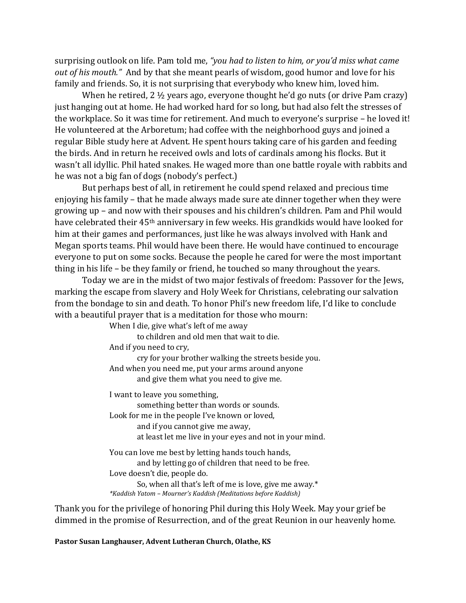surprising outlook on life. Pam told me, *"you had to listen to him, or you'd miss what came out of his mouth."* And by that she meant pearls of wisdom, good humor and love for his family and friends. So, it is not surprising that everybody who knew him, loved him.

When he retired, 2 ½ years ago, everyone thought he'd go nuts (or drive Pam crazy) just hanging out at home. He had worked hard for so long, but had also felt the stresses of the workplace. So it was time for retirement. And much to everyone's surprise – he loved it! He volunteered at the Arboretum; had coffee with the neighborhood guys and joined a regular Bible study here at Advent. He spent hours taking care of his garden and feeding the birds. And in return he received owls and lots of cardinals among his flocks. But it wasn't all idyllic. Phil hated snakes. He waged more than one battle royale with rabbits and he was not a big fan of dogs (nobody's perfect.)

But perhaps best of all, in retirement he could spend relaxed and precious time enjoying his family – that he made always made sure ate dinner together when they were growing up – and now with their spouses and his children's children. Pam and Phil would have celebrated their 45th anniversary in few weeks. His grandkids would have looked for him at their games and performances, just like he was always involved with Hank and Megan sports teams. Phil would have been there. He would have continued to encourage everyone to put on some socks. Because the people he cared for were the most important thing in his life – be they family or friend, he touched so many throughout the years.

Today we are in the midst of two major festivals of freedom: Passover for the Jews, marking the escape from slavery and Holy Week for Christians, celebrating our salvation from the bondage to sin and death. To honor Phil's new freedom life, I'd like to conclude with a beautiful prayer that is a meditation for those who mourn:

When I die, give what's left of me away to children and old men that wait to die. And if you need to cry, cry for your brother walking the streets beside you. And when you need me, put your arms around anyone and give them what you need to give me. I want to leave you something, something better than words or sounds. Look for me in the people I've known or loved, and if you cannot give me away, at least let me live in your eyes and not in your mind. You can love me best by letting hands touch hands, and by letting go of children that need to be free.

Love doesn't die, people do. So, when all that's left of me is love, give me away.\*

*\*Kaddish Yatom – Mourner's Kaddish (Meditations before Kaddish)*

Thank you for the privilege of honoring Phil during this Holy Week. May your grief be dimmed in the promise of Resurrection, and of the great Reunion in our heavenly home.

**Pastor Susan Langhauser, Advent Lutheran Church, Olathe, KS**